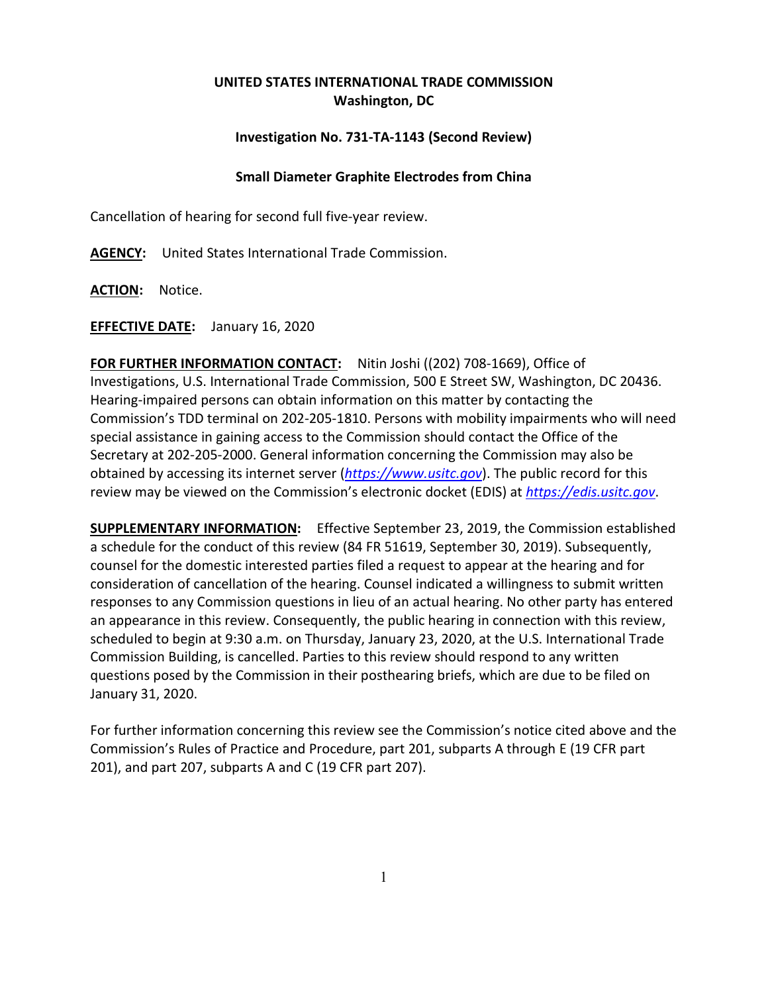## **UNITED STATES INTERNATIONAL TRADE COMMISSION Washington, DC**

## **Investigation No. 731-TA-1143 (Second Review)**

## **Small Diameter Graphite Electrodes from China**

Cancellation of hearing for second full five-year review.

**AGENCY:** United States International Trade Commission.

**ACTION:** Notice.

**EFFECTIVE DATE:** January 16, 2020

**FOR FURTHER INFORMATION CONTACT:** Nitin Joshi ((202) 708-1669), Office of Investigations, U.S. International Trade Commission, 500 E Street SW, Washington, DC 20436. Hearing-impaired persons can obtain information on this matter by contacting the Commission's TDD terminal on 202-205-1810. Persons with mobility impairments who will need special assistance in gaining access to the Commission should contact the Office of the Secretary at 202-205-2000. General information concerning the Commission may also be obtained by accessing its internet server (*[https://www.usitc.gov](https://www.usitc.gov/)*). The public record for this review may be viewed on the Commission's electronic docket (EDIS) at *[https://edis.usitc.gov](https://edis.usitc.gov/)*.

**SUPPLEMENTARY INFORMATION:** Effective September 23, 2019, the Commission established a schedule for the conduct of this review (84 FR 51619, September 30, 2019). Subsequently, counsel for the domestic interested parties filed a request to appear at the hearing and for consideration of cancellation of the hearing. Counsel indicated a willingness to submit written responses to any Commission questions in lieu of an actual hearing. No other party has entered an appearance in this review. Consequently, the public hearing in connection with this review, scheduled to begin at 9:30 a.m. on Thursday, January 23, 2020, at the U.S. International Trade Commission Building, is cancelled. Parties to this review should respond to any written questions posed by the Commission in their posthearing briefs, which are due to be filed on January 31, 2020.

For further information concerning this review see the Commission's notice cited above and the Commission's Rules of Practice and Procedure, part 201, subparts A through E (19 CFR part 201), and part 207, subparts A and C (19 CFR part 207).